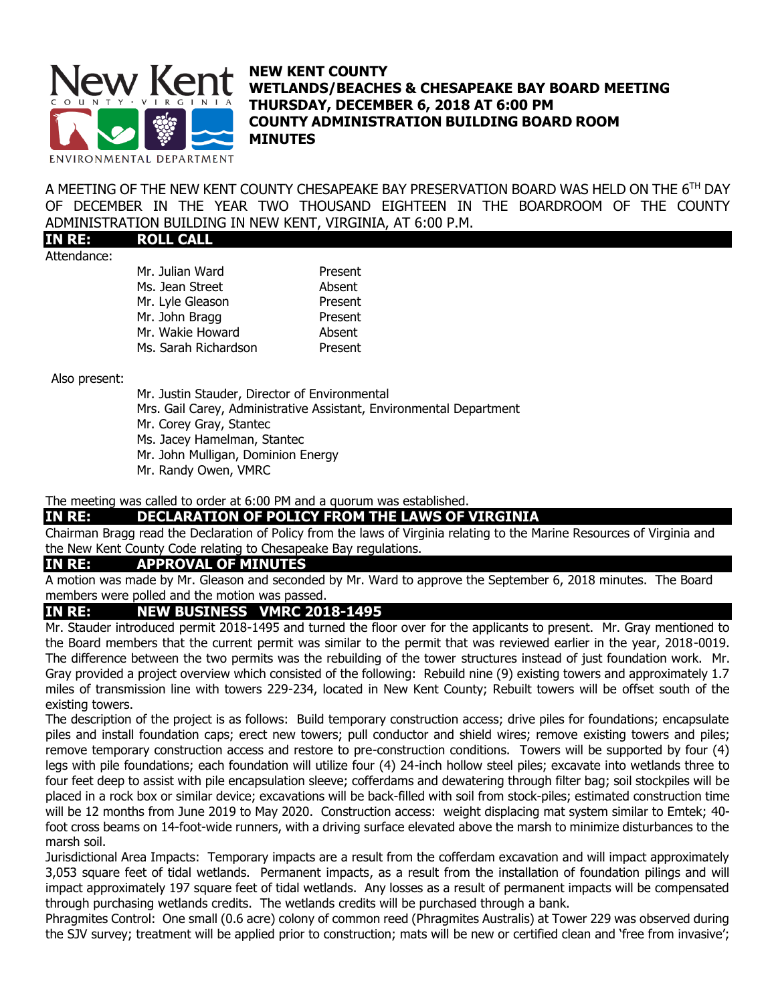

## **NEW KENT COUNTY WETLANDS/BEACHES & CHESAPEAKE BAY BOARD MEETING THURSDAY, DECEMBER 6, 2018 AT 6:00 PM COUNTY ADMINISTRATION BUILDING BOARD ROOM MINUTES**

A MEETING OF THE NEW KENT COUNTY CHESAPEAKE BAY PRESERVATION BOARD WAS HELD ON THE  $6^{\text{\tiny{TH}}}$  DAY OF DECEMBER IN THE YEAR TWO THOUSAND EIGHTEEN IN THE BOARDROOM OF THE COUNTY ADMINISTRATION BUILDING IN NEW KENT, VIRGINIA, AT 6:00 P.M.

**IN RE: ROLL CALL** Attendance:

| Mr. Julian Ward      | Present |
|----------------------|---------|
| Ms. Jean Street      | Absent  |
| Mr. Lyle Gleason     | Present |
| Mr. John Bragg       | Present |
| Mr. Wakie Howard     | Absent  |
| Ms. Sarah Richardson | Present |

Also present:

Mr. Justin Stauder, Director of Environmental Mrs. Gail Carey, Administrative Assistant, Environmental Department Mr. Corey Gray, Stantec Ms. Jacey Hamelman, Stantec Mr. John Mulligan, Dominion Energy Mr. Randy Owen, VMRC

#### The meeting was called to order at 6:00 PM and a quorum was established.

## **IN RE: DECLARATION OF POLICY FROM THE LAWS OF VIRGINIA**

Chairman Bragg read the Declaration of Policy from the laws of Virginia relating to the Marine Resources of Virginia and the New Kent County Code relating to Chesapeake Bay regulations.

## **IN RE: APPROVAL OF MINUTES**

A motion was made by Mr. Gleason and seconded by Mr. Ward to approve the September 6, 2018 minutes. The Board members were polled and the motion was passed.

#### **IN RE: NEW BUSINESS VMRC 2018-1495**

Mr. Stauder introduced permit 2018-1495 and turned the floor over for the applicants to present. Mr. Gray mentioned to the Board members that the current permit was similar to the permit that was reviewed earlier in the year, 2018-0019. The difference between the two permits was the rebuilding of the tower structures instead of just foundation work. Mr. Gray provided a project overview which consisted of the following: Rebuild nine (9) existing towers and approximately 1.7 miles of transmission line with towers 229-234, located in New Kent County; Rebuilt towers will be offset south of the existing towers.

The description of the project is as follows: Build temporary construction access; drive piles for foundations; encapsulate piles and install foundation caps; erect new towers; pull conductor and shield wires; remove existing towers and piles; remove temporary construction access and restore to pre-construction conditions. Towers will be supported by four (4) legs with pile foundations; each foundation will utilize four (4) 24-inch hollow steel piles; excavate into wetlands three to four feet deep to assist with pile encapsulation sleeve; cofferdams and dewatering through filter bag; soil stockpiles will be placed in a rock box or similar device; excavations will be back-filled with soil from stock-piles; estimated construction time will be 12 months from June 2019 to May 2020. Construction access: weight displacing mat system similar to Emtek; 40 foot cross beams on 14-foot-wide runners, with a driving surface elevated above the marsh to minimize disturbances to the marsh soil.

Jurisdictional Area Impacts: Temporary impacts are a result from the cofferdam excavation and will impact approximately 3,053 square feet of tidal wetlands. Permanent impacts, as a result from the installation of foundation pilings and will impact approximately 197 square feet of tidal wetlands. Any losses as a result of permanent impacts will be compensated through purchasing wetlands credits. The wetlands credits will be purchased through a bank.

Phragmites Control: One small (0.6 acre) colony of common reed (Phragmites Australis) at Tower 229 was observed during the SJV survey; treatment will be applied prior to construction; mats will be new or certified clean and 'free from invasive';